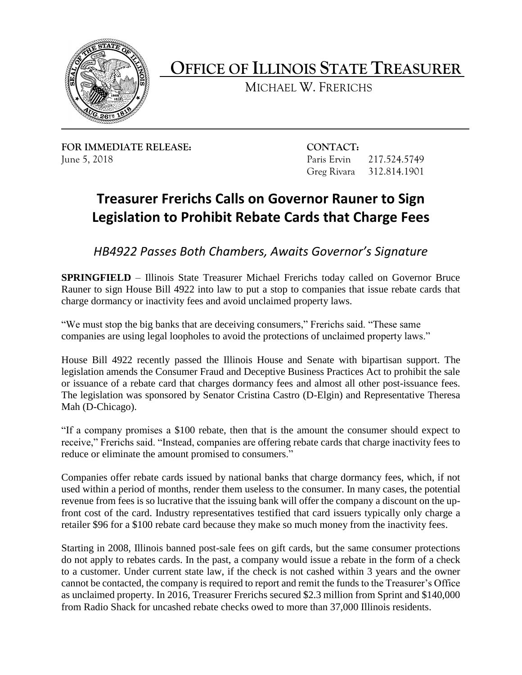

**OFFICE OF ILLINOIS STATE TREASURER** 

MICHAEL W. FRERICHS

**FOR IMMEDIATE RELEASE: CONTACT:**  June 5, 2018 Paris Ervin 217.524.5749

Greg Rivara 312.814.1901

## **Treasurer Frerichs Calls on Governor Rauner to Sign Legislation to Prohibit Rebate Cards that Charge Fees**

*HB4922 Passes Both Chambers, Awaits Governor's Signature*

 Rauner to sign House Bill 4922 into law to put a stop to companies that issue rebate cards that **SPRINGFIELD** – Illinois State Treasurer Michael Frerichs today called on Governor Bruce charge dormancy or inactivity fees and avoid unclaimed property laws.

"We must stop the big banks that are deceiving consumers," Frerichs said. "These same companies are using legal loopholes to avoid the protections of unclaimed property laws."

 or issuance of a rebate card that charges dormancy fees and almost all other post-issuance fees. House Bill 4922 recently passed the Illinois House and Senate with bipartisan support. The legislation amends the Consumer Fraud and Deceptive Business Practices Act to prohibit the sale The legislation was sponsored by Senator Cristina Castro (D-Elgin) and Representative Theresa Mah (D-Chicago).

 "If a company promises a \$100 rebate, then that is the amount the consumer should expect to receive," Frerichs said. "Instead, companies are offering rebate cards that charge inactivity fees to reduce or eliminate the amount promised to consumers."

 revenue from fees is so lucrative that the issuing bank will offer the company a discount on the up- front cost of the card. Industry representatives testified that card issuers typically only charge a Companies offer rebate cards issued by national banks that charge dormancy fees, which, if not used within a period of months, render them useless to the consumer. In many cases, the potential retailer \$96 for a \$100 rebate card because they make so much money from the inactivity fees.

 do not apply to rebates cards. In the past, a company would issue a rebate in the form of a check to a customer. Under current state law, if the check is not cashed within 3 years and the owner as unclaimed property. In 2016, Treasurer Frerichs secured \$2.3 million from Sprint and \$140,000 Starting in 2008, Illinois banned post-sale fees on gift cards, but the same consumer protections cannot be contacted, the company is required to report and remit the funds to the Treasurer's Office from Radio Shack for uncashed rebate checks owed to more than 37,000 Illinois residents.